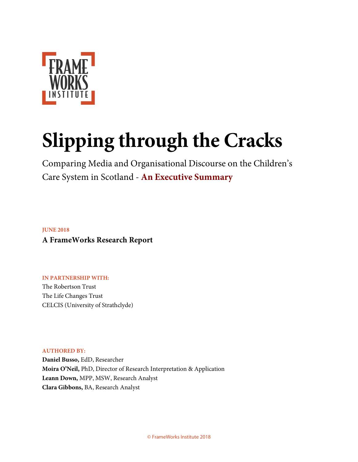

# **Slipping through the Cracks**

Comparing Media and Organisational Discourse on the Children's Care System in Scotland - **An Executive Summary**

## **JUNE 2018 A FrameWorks Research Report**

**IN PARTNERSHIP WITH:** The Robertson Trust The Life Changes Trust CELCIS (University of Strathclyde)

**AUTHORED BY:** 

**Daniel Busso,** EdD, Researcher **Moira O'Neil,** PhD, Director of Research Interpretation & Application **Leann Down,** MPP, MSW, Research Analyst **Clara Gibbons,** BA, Research Analyst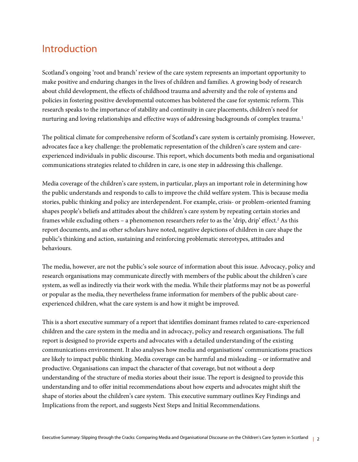## Introduction

Scotland's ongoing 'root and branch' review of the care system represents an important opportunity to make positive and enduring changes in the lives of children and families. A growing body of research about child development, the effects of childhood trauma and adversity and the role of systems and policies in fostering positive developmental outcomes has bolstered the case for systemic reform. This research speaks to the importance of stability and continuity in care placements, children's need for nurturing and loving relationships and effective ways of addressing backgrounds of complex trauma.<sup>1</sup>

The political climate for comprehensive reform of Scotland's care system is certainly promising. However, advocates face a key challenge: the problematic representation of the children's care system and careexperienced individuals in public discourse. This report, which documents both media and organisational communications strategies related to children in care, is one step in addressing this challenge.

Media coverage of the children's care system, in particular, plays an important role in determining how the public understands and responds to calls to improve the child welfare system. This is because media stories, public thinking and policy are interdependent. For example, crisis- or problem-oriented framing shapes people's beliefs and attitudes about the children's care system by repeating certain stories and frames while excluding others – a phenomenon researchers refer to as the 'drip, drip' effect.<sup>2</sup> As this report documents, and as other scholars have noted, negative depictions of children in care shape the public's thinking and action, sustaining and reinforcing problematic stereotypes, attitudes and behaviours.

The media, however, are not the public's sole source of information about this issue. Advocacy, policy and research organisations may communicate directly with members of the public about the children's care system, as well as indirectly via their work with the media. While their platforms may not be as powerful or popular as the media, they nevertheless frame information for members of the public about careexperienced children, what the care system is and how it might be improved.

This is a short executive summary of a report that identifies dominant frames related to care-experienced children and the care system in the media and in advocacy, policy and research organisations. The full report is designed to provide experts and advocates with a detailed understanding of the existing communications environment. It also analyses how media and organisations' communications practices are likely to impact public thinking. Media coverage can be harmful and misleading – or informative and productive. Organisations can impact the character of that coverage, but not without a deep understanding of the structure of media stories about their issue. The report is designed to provide this understanding and to offer initial recommendations about how experts and advocates might shift the shape of stories about the children's care system. This executive summary outlines Key Findings and Implications from the report, and suggests Next Steps and Initial Recommendations.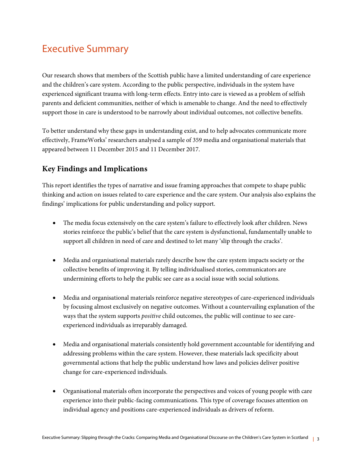## Executive Summary

Our research shows that members of the Scottish public have a limited understanding of care experience and the children's care system. According to the public perspective, individuals in the system have experienced significant trauma with long-term effects. Entry into care is viewed as a problem of selfish parents and deficient communities, neither of which is amenable to change. And the need to effectively support those in care is understood to be narrowly about individual outcomes, not collective benefits.

To better understand why these gaps in understanding exist, and to help advocates communicate more effectively, FrameWorks' researchers analysed a sample of 359 media and organisational materials that appeared between 11 December 2015 and 11 December 2017.

### **Key Findings and Implications**

This report identifies the types of narrative and issue framing approaches that compete to shape public thinking and action on issues related to care experience and the care system. Our analysis also explains the findings' implications for public understanding and policy support.

- The media focus extensively on the care system's failure to effectively look after children. News stories reinforce the public's belief that the care system is dysfunctional, fundamentally unable to support all children in need of care and destined to let many 'slip through the cracks'.
- Media and organisational materials rarely describe how the care system impacts society or the collective benefits of improving it. By telling individualised stories, communicators are undermining efforts to help the public see care as a social issue with social solutions.
- Media and organisational materials reinforce negative stereotypes of care-experienced individuals by focusing almost exclusively on negative outcomes. Without a countervailing explanation of the ways that the system supports *positive* child outcomes, the public will continue to see careexperienced individuals as irreparably damaged.
- Media and organisational materials consistently hold government accountable for identifying and addressing problems within the care system. However, these materials lack specificity about governmental actions that help the public understand how laws and policies deliver positive change for care-experienced individuals.
- Organisational materials often incorporate the perspectives and voices of young people with care experience into their public-facing communications. This type of coverage focuses attention on individual agency and positions care-experienced individuals as drivers of reform.